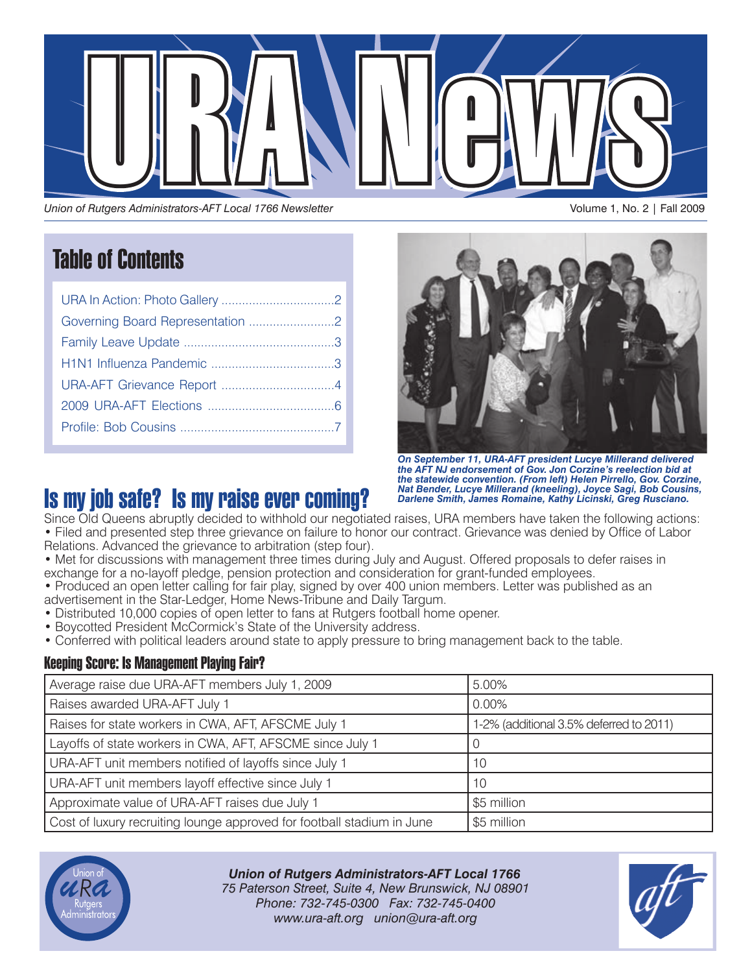

*Union of Rutgers Administrators-AFT Local 1766 Newsletter*

# Table of Contents

| Governing Board Representation 2 |
|----------------------------------|
|                                  |
|                                  |
|                                  |
|                                  |
|                                  |



*On September 11, URA-AFT president Lucye Millerand delivered the AFT NJ endorsement of Gov. Jon Corzine's reelection bid at the statewide convention. (From left) Helen Pirrello, Gov. Corzine, Nat Bender, Lucye Millerand (kneeling), Joyce Sagi, Bob Cousins, Darlene Smith, James Romaine, Kathy Licinski, Greg Rusciano.*

# Is my job safe? Is my raise ever coming?

Since Old Queens abruptly decided to withhold our negotiated raises, URA members have taken the following actions: • Filed and presented step three grievance on failure to honor our contract. Grievance was denied by Office of Labor Relations. Advanced the grievance to arbitration (step four).

- Met for discussions with management three times during July and August. Offered proposals to defer raises in exchange for a no-layoff pledge, pension protection and consideration for grant-funded employees.
- Produced an open letter calling for fair play, signed by over 400 union members. Letter was published as an advertisement in the Star-Ledger, Home News-Tribune and Daily Targum.
- Distributed 10,000 copies of open letter to fans at Rutgers football home opener.
- Boycotted President McCormick's State of the University address.
- Conferred with political leaders around state to apply pressure to bring management back to the table.

## Keeping Score: Is Management Playing Fair?

| Average raise due URA-AFT members July 1, 2009                                        | 5.00%                                   |  |
|---------------------------------------------------------------------------------------|-----------------------------------------|--|
| Raises awarded URA-AFT July 1                                                         | $0.00\%$                                |  |
| Raises for state workers in CWA, AFT, AFSCME July 1                                   | 1-2% (additional 3.5% deferred to 2011) |  |
| Layoffs of state workers in CWA, AFT, AFSCME since July 1                             | O                                       |  |
| URA-AFT unit members notified of layoffs since July 1                                 | 10                                      |  |
| URA-AFT unit members layoff effective since July 1                                    | 10                                      |  |
| Approximate value of URA-AFT raises due July 1                                        | \$5 million                             |  |
| Cost of luxury recruiting lounge approved for football stadium in June<br>\$5 million |                                         |  |



*Union of Rutgers Administrators-AFT Local 1766 75 Paterson Street, Suite 4, New Brunswick, NJ 08901 Phone: 732-745-0300 Fax: 732-745-0400 www.ura-aft.org union@ura-aft.org*

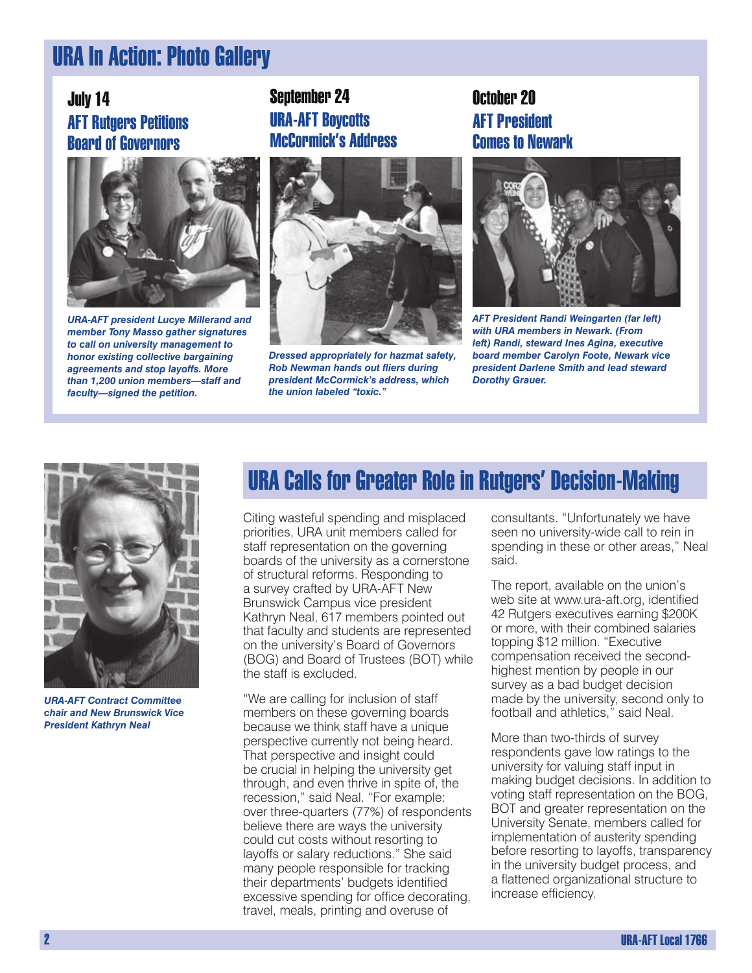# URA In Action: Photo Gallery

## July 14 AFT Rutgers Petitions Board of Governors



*URA-AFT president Lucye Millerand and member Tony Masso gather signatures to call on university management to honor existing collective bargaining agreements and stop layoffs. More than 1,200 union members—staff and faculty—signed the petition.*

## September 24 URA-AFT Boycotts McCormick's Address



*Dressed appropriately for hazmat safety, Rob Newman hands out fliers during president McCormick's address, which the union labeled "toxic."*

## October 20 AFT President Comes to Newark



*AFT President Randi Weingarten (far left) with URA members in Newark. (From left) Randi, steward Ines Agina, executive board member Carolyn Foote, Newark vice president Darlene Smith and lead steward Dorothy Grauer.*



*URA-AFT Contract Committee chair and New Brunswick Vice President Kathryn Neal*

# URA Calls for Greater Role in Rutgers' Decision-Making

Citing wasteful spending and misplaced priorities, URA unit members called for staff representation on the governing boards of the university as a cornerstone of structural reforms. Responding to a survey crafted by URA-AFT New Brunswick Campus vice president Kathryn Neal, 617 members pointed out that faculty and students are represented on the university's Board of Governors (BOG) and Board of Trustees (BOT) while the staff is excluded.

"We are calling for inclusion of staff members on these governing boards because we think staff have a unique perspective currently not being heard. That perspective and insight could be crucial in helping the university get through, and even thrive in spite of, the recession," said Neal. "For example: over three-quarters (77%) of respondents believe there are ways the university could cut costs without resorting to layoffs or salary reductions." She said many people responsible for tracking their departments' budgets identified excessive spending for office decorating, travel, meals, printing and overuse of

consultants. "Unfortunately we have seen no university-wide call to rein in spending in these or other areas," Neal said.

The report, available on the union's web site at www.ura-aft.org, identified 42 Rutgers executives earning \$200K or more, with their combined salaries topping \$12 million. "Executive compensation received the secondhighest mention by people in our survey as a bad budget decision made by the university, second only to football and athletics," said Neal.

More than two-thirds of survey respondents gave low ratings to the university for valuing staff input in making budget decisions. In addition to voting staff representation on the BOG, BOT and greater representation on the University Senate, members called for implementation of austerity spending before resorting to layoffs, transparency in the university budget process, and a flattened organizational structure to increase efficiency.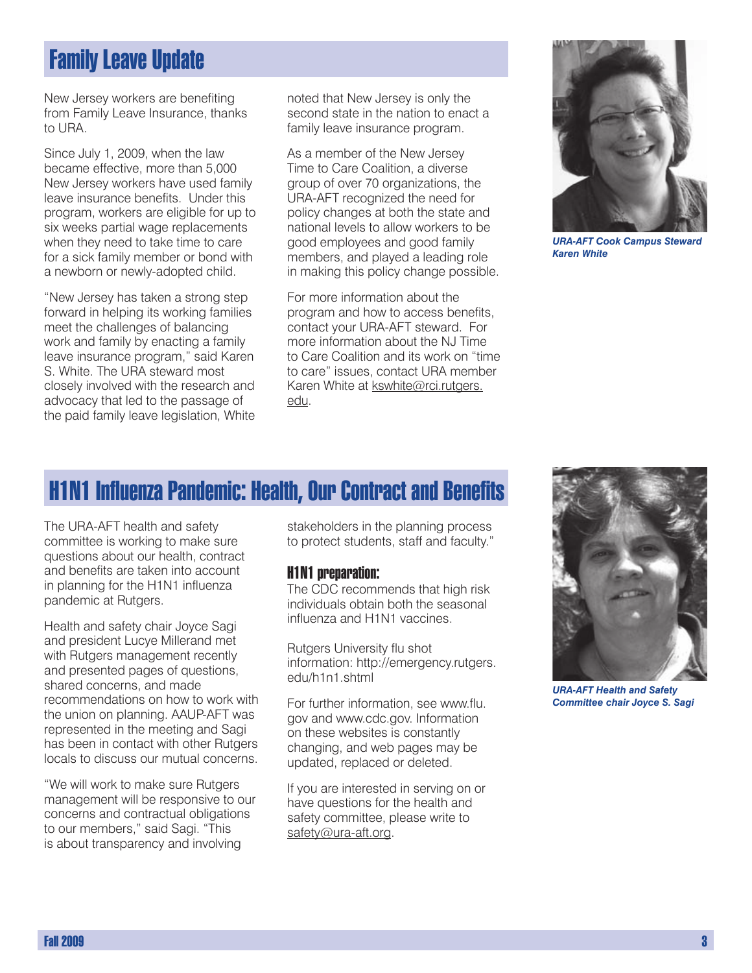# Family Leave Update

New Jersey workers are benefiting from Family Leave Insurance, thanks to URA.

Since July 1, 2009, when the law became effective, more than 5,000 New Jersey workers have used family leave insurance benefits. Under this program, workers are eligible for up to six weeks partial wage replacements when they need to take time to care for a sick family member or bond with a newborn or newly-adopted child.

"New Jersey has taken a strong step forward in helping its working families meet the challenges of balancing work and family by enacting a family leave insurance program," said Karen S. White. The URA steward most closely involved with the research and advocacy that led to the passage of the paid family leave legislation, White

noted that New Jersey is only the second state in the nation to enact a family leave insurance program.

As a member of the New Jersey Time to Care Coalition, a diverse group of over 70 organizations, the URA-AFT recognized the need for policy changes at both the state and national levels to allow workers to be good employees and good family members, and played a leading role in making this policy change possible.

For more information about the program and how to access benefits, contact your URA-AFT steward. For more information about the NJ Time to Care Coalition and its work on "time to care" issues, contact URA member Karen White at kswhite@rci.rutgers. edu.



*URA-AFT Cook Campus Steward Karen White*

# H1N1 Influenza Pandemic: Health, Our Contract and Benefits

The URA-AFT health and safety committee is working to make sure questions about our health, contract and benefits are taken into account in planning for the H1N1 influenza pandemic at Rutgers.

Health and safety chair Joyce Sagi and president Lucye Millerand met with Rutgers management recently and presented pages of questions, shared concerns, and made recommendations on how to work with the union on planning. AAUP-AFT was represented in the meeting and Sagi has been in contact with other Rutgers locals to discuss our mutual concerns.

"We will work to make sure Rutgers management will be responsive to our concerns and contractual obligations to our members," said Sagi. "This is about transparency and involving

stakeholders in the planning process to protect students, staff and faculty."

### H1N1 preparation:

The CDC recommends that high risk individuals obtain both the seasonal influenza and H1N1 vaccines.

Rutgers University flu shot information: http://emergency.rutgers. edu/h1n1.shtml

For further information, see www.flu. gov and www.cdc.gov. Information on these websites is constantly changing, and web pages may be updated, replaced or deleted.

If you are interested in serving on or have questions for the health and safety committee, please write to safety@ura-aft.org.



*URA-AFT Health and Safety Committee chair Joyce S. Sagi*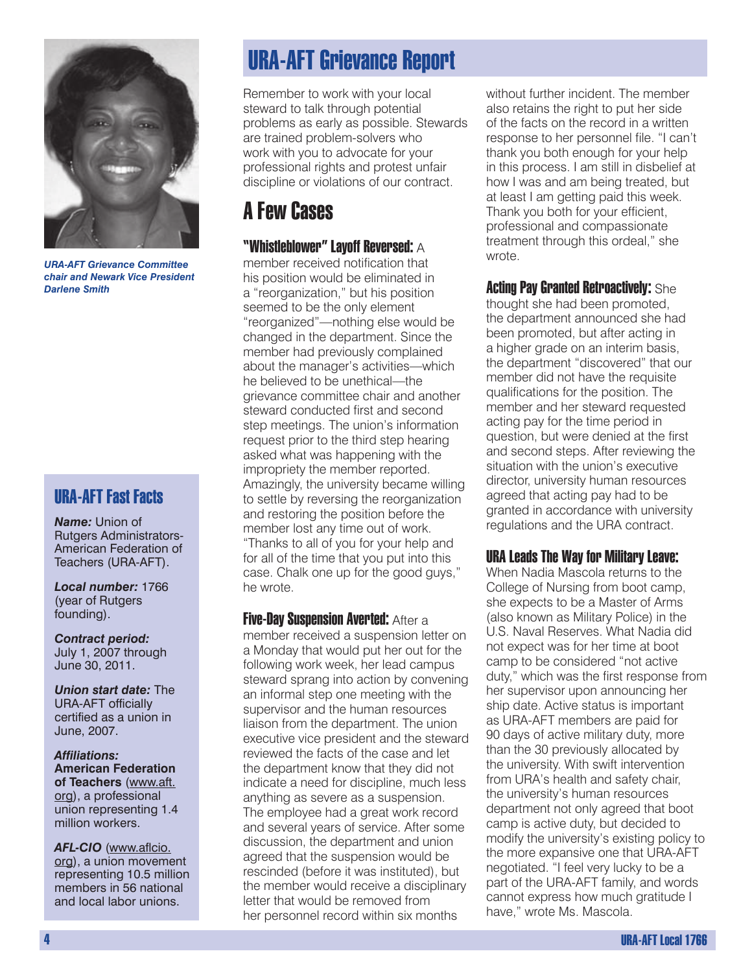

*URA-AFT Grievance Committee chair and Newark Vice President Darlene Smith*

## URA-AFT Fast Facts

*Name:* Union of Rutgers Administrators-American Federation of Teachers (URA-AFT).

*Local number:* 1766 (year of Rutgers founding).

*Contract period:* July 1, 2007 through June 30, 2011.

*Union start date:* The URA-AFT officially certified as a union in June, 2007.

*Affiliations:* **American Federation of Teachers** (www.aft. org), a professional union representing 1.4 million workers.

AFL-CIO (www.aflcio. org), a union movement representing 10.5 million members in 56 national and local labor unions.

# URA-AFT Grievance Report

Remember to work with your local steward to talk through potential problems as early as possible. Stewards are trained problem-solvers who work with you to advocate for your professional rights and protest unfair discipline or violations of our contract.

# A Few Cases

## "Whistleblower" Layoff Reversed:  $\overline{\mathsf{A}}$

member received notification that his position would be eliminated in a "reorganization," but his position seemed to be the only element "reorganized"—nothing else would be changed in the department. Since the member had previously complained about the manager's activities—which he believed to be unethical—the grievance committee chair and another steward conducted first and second step meetings. The union's information request prior to the third step hearing asked what was happening with the impropriety the member reported. Amazingly, the university became willing to settle by reversing the reorganization and restoring the position before the member lost any time out of work. "Thanks to all of you for your help and for all of the time that you put into this case. Chalk one up for the good guys," he wrote.

**Five-Day Suspension Averted: After a** member received a suspension letter on a Monday that would put her out for the following work week, her lead campus steward sprang into action by convening an informal step one meeting with the supervisor and the human resources liaison from the department. The union executive vice president and the steward reviewed the facts of the case and let the department know that they did not indicate a need for discipline, much less anything as severe as a suspension. The employee had a great work record and several years of service. After some discussion, the department and union agreed that the suspension would be rescinded (before it was instituted), but the member would receive a disciplinary letter that would be removed from her personnel record within six months

without further incident. The member also retains the right to put her side of the facts on the record in a written response to her personnel file. "I can't thank you both enough for your help in this process. I am still in disbelief at how I was and am being treated, but at least I am getting paid this week. Thank you both for your efficient, professional and compassionate treatment through this ordeal," she wrote.

Acting Pay Granted Retroactively: She thought she had been promoted, the department announced she had been promoted, but after acting in a higher grade on an interim basis, the department "discovered" that our member did not have the requisite qualifications for the position. The member and her steward requested acting pay for the time period in question, but were denied at the first and second steps. After reviewing the situation with the union's executive director, university human resources agreed that acting pay had to be granted in accordance with university regulations and the URA contract.

## URA Leads The Way for Military Leave:

When Nadia Mascola returns to the College of Nursing from boot camp, she expects to be a Master of Arms (also known as Military Police) in the U.S. Naval Reserves. What Nadia did not expect was for her time at boot camp to be considered "not active duty," which was the first response from her supervisor upon announcing her ship date. Active status is important as URA-AFT members are paid for 90 days of active military duty, more than the 30 previously allocated by the university. With swift intervention from URA's health and safety chair, the university's human resources department not only agreed that boot camp is active duty, but decided to modify the university's existing policy to the more expansive one that URA-AFT negotiated. "I feel very lucky to be a part of the URA-AFT family, and words cannot express how much gratitude I have," wrote Ms. Mascola.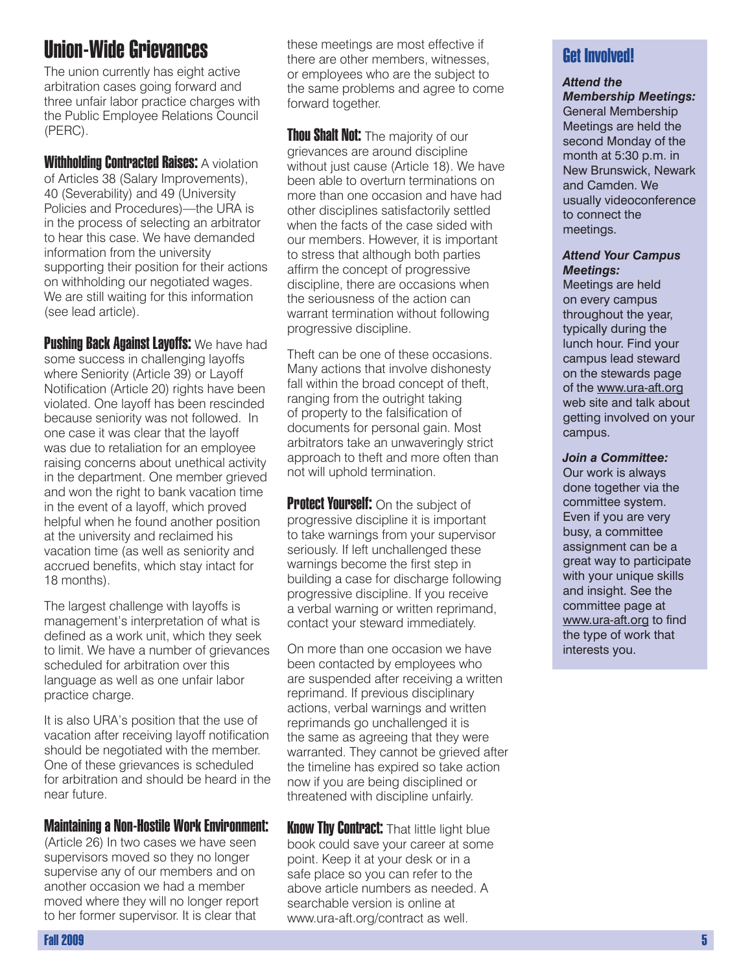# Union-Wide Grievances

The union currently has eight active arbitration cases going forward and three unfair labor practice charges with the Public Employee Relations Council (PERC).

**Withholding Contracted Raises: A violation** of Articles 38 (Salary Improvements), 40 (Severability) and 49 (University Policies and Procedures)—the URA is in the process of selecting an arbitrator to hear this case. We have demanded information from the university supporting their position for their actions on withholding our negotiated wages. We are still waiting for this information (see lead article).

**Pushing Back Against Layoffs: We have had** some success in challenging layoffs where Seniority (Article 39) or Layoff Notification (Article 20) rights have been violated. One layoff has been rescinded because seniority was not followed. In one case it was clear that the layoff was due to retaliation for an employee raising concerns about unethical activity in the department. One member grieved and won the right to bank vacation time in the event of a layoff, which proved helpful when he found another position at the university and reclaimed his vacation time (as well as seniority and accrued benefits, which stay intact for 18 months).

The largest challenge with layoffs is management's interpretation of what is defined as a work unit, which they seek to limit. We have a number of grievances scheduled for arbitration over this language as well as one unfair labor practice charge.

It is also URA's position that the use of vacation after receiving layoff notification should be negotiated with the member. One of these grievances is scheduled for arbitration and should be heard in the near future.

### Maintaining a Non-Hostile Work Environment:

(Article 26) In two cases we have seen supervisors moved so they no longer supervise any of our members and on another occasion we had a member moved where they will no longer report to her former supervisor. It is clear that

these meetings are most effective if there are other members, witnesses, or employees who are the subject to the same problems and agree to come forward together.

**Thou Shalt Not:** The majority of our grievances are around discipline without just cause (Article 18). We have been able to overturn terminations on more than one occasion and have had other disciplines satisfactorily settled when the facts of the case sided with our members. However, it is important to stress that although both parties affirm the concept of progressive discipline, there are occasions when the seriousness of the action can warrant termination without following progressive discipline.

Theft can be one of these occasions. Many actions that involve dishonesty fall within the broad concept of theft, ranging from the outright taking of property to the falsification of documents for personal gain. Most arbitrators take an unwaveringly strict approach to theft and more often than not will uphold termination.

**Protect Yourself:** On the subject of progressive discipline it is important to take warnings from your supervisor seriously. If left unchallenged these warnings become the first step in building a case for discharge following progressive discipline. If you receive a verbal warning or written reprimand, contact your steward immediately.

On more than one occasion we have been contacted by employees who are suspended after receiving a written reprimand. If previous disciplinary actions, verbal warnings and written reprimands go unchallenged it is the same as agreeing that they were warranted. They cannot be grieved after the timeline has expired so take action now if you are being disciplined or threatened with discipline unfairly.

**Know Thy Contract:** That little light blue book could save your career at some point. Keep it at your desk or in a safe place so you can refer to the above article numbers as needed. A searchable version is online at www.ura-aft.org/contract as well.

## Get Involved!

## *Attend the*

*Membership Meetings:* General Membership Meetings are held the second Monday of the month at 5:30 p.m. in New Brunswick, Newark and Camden. We usually videoconference to connect the meetings.

#### *Attend Your Campus Meetings:*

Meetings are held on every campus throughout the year, typically during the lunch hour. Find your campus lead steward on the stewards page of the www.ura-aft.org web site and talk about getting involved on your campus.

#### *Join a Committee:*

Our work is always done together via the committee system. Even if you are very busy, a committee assignment can be a great way to participate with your unique skills and insight. See the committee page at www.ura-aft.org to find the type of work that interests you.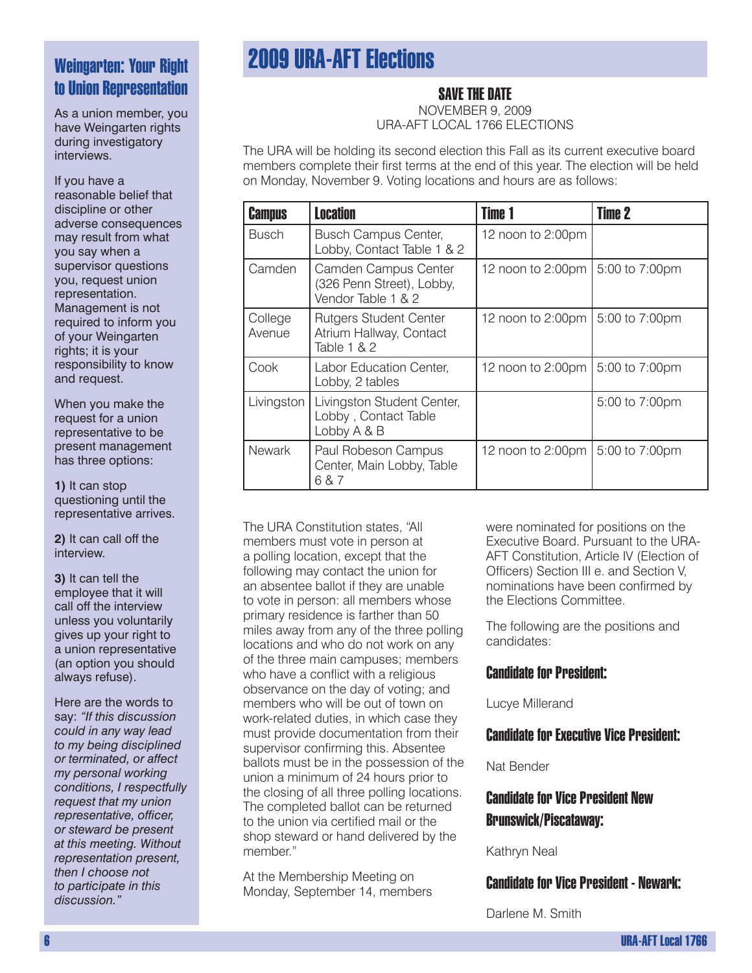# Weingarten: Your Right to Union Representation

As a union member, you have Weingarten rights during investigatory interviews.

If you have a reasonable belief that discipline or other adverse consequences may result from what you say when a supervisor questions you, request union representation. Management is not required to inform you of your Weingarten rights; it is your responsibility to know and request.

When you make the request for a union representative to be present management has three options:

**1)** It can stop questioning until the representative arrives.

**2)** It can call off the interview.

**3)** It can tell the employee that it will call off the interview unless you voluntarily gives up your right to a union representative (an option you should always refuse).

Here are the words to say: *"If this discussion could in any way lead to my being disciplined or terminated, or affect my personal working conditions, I respectfully request that my union representative, officer, or steward be present at this meeting. Without representation present, then I choose not to participate in this discussion."*

# 2009 URA-AFT Elections

## SAVE THE DATE

NOVEMBER 9, 2009 URA-AFT LOCAL 1766 ELECTIONS

The URA will be holding its second election this Fall as its current executive board members complete their first terms at the end of this year. The election will be held on Monday, November 9. Voting locations and hours are as follows:

| <b>Campus</b>     | <b>Location</b>                                                         | <b>Time 1</b>     | <b>Time 2</b>  |
|-------------------|-------------------------------------------------------------------------|-------------------|----------------|
| <b>Busch</b>      | <b>Busch Campus Center,</b><br>Lobby, Contact Table 1 & 2               | 12 noon to 2:00pm |                |
| Camden            | Camden Campus Center<br>(326 Penn Street), Lobby,<br>Vendor Table 1 & 2 | 12 noon to 2:00pm | 5:00 to 7:00pm |
| College<br>Avenue | <b>Rutgers Student Center</b><br>Atrium Hallway, Contact<br>Table 1 & 2 | 12 noon to 2:00pm | 5:00 to 7:00pm |
| Cook              | Labor Education Center,<br>Lobby, 2 tables                              | 12 noon to 2:00pm | 5:00 to 7:00pm |
| Livingston        | Livingston Student Center,<br>Lobby, Contact Table<br>Lobby A & B       |                   | 5:00 to 7:00pm |
| <b>Newark</b>     | Paul Robeson Campus<br>Center, Main Lobby, Table<br>6 & 7               | 12 noon to 2:00pm | 5:00 to 7:00pm |

The URA Constitution states, "All members must vote in person at a polling location, except that the following may contact the union for an absentee ballot if they are unable to vote in person: all members whose primary residence is farther than 50 miles away from any of the three polling locations and who do not work on any of the three main campuses; members who have a conflict with a religious observance on the day of voting; and members who will be out of town on work-related duties, in which case they must provide documentation from their supervisor confirming this. Absentee ballots must be in the possession of the union a minimum of 24 hours prior to the closing of all three polling locations. The completed ballot can be returned to the union via certified mail or the shop steward or hand delivered by the member."

At the Membership Meeting on Monday, September 14, members were nominated for positions on the Executive Board. Pursuant to the URA-AFT Constitution, Article IV (Election of Officers) Section III e. and Section V, nominations have been confirmed by the Elections Committee.

The following are the positions and candidates:

### Candidate for President:

Lucye Millerand

## Candidate for Executive Vice President:

Nat Bender

## Candidate for Vice President New Brunswick/Piscataway:

Kathryn Neal

## Candidate for Vice President - Newark:

Darlene M. Smith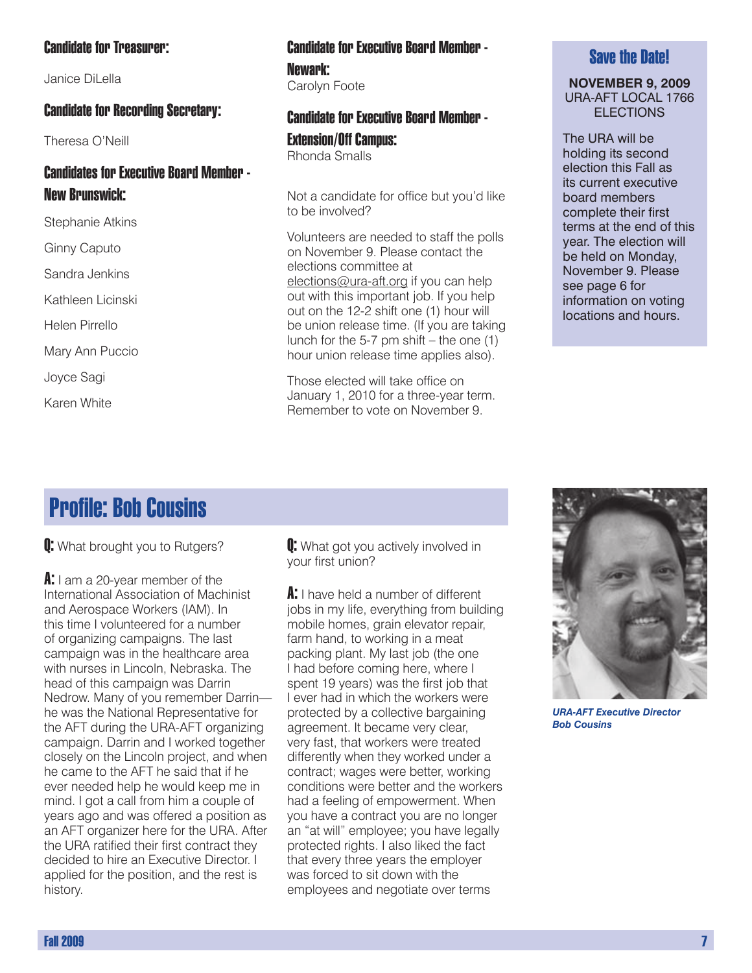### Candidate for Treasurer:

Janice DiLella

### Candidate for Recording Secretary:

Theresa O'Neill

## Candidates for Executive Board Member - New Brunswick:

Stephanie Atkins

Ginny Caputo

Sandra Jenkins

Kathleen Licinski

Helen Pirrello

Mary Ann Puccio

Joyce Sagi

Karen White

### Candidate for Executive Board Member - Newark: Carolyn Foote

### Candidate for Executive Board Member -

Extension/Off Campus: Rhonda Smalls

Not a candidate for office but you'd like to be involved?

Volunteers are needed to staff the polls on November 9. Please contact the elections committee at elections@ura-aft.org if you can help out with this important job. If you help out on the 12-2 shift one (1) hour will be union release time. (If you are taking lunch for the 5-7 pm shift – the one  $(1)$ hour union release time applies also).

Those elected will take office on January 1, 2010 for a three-year term. Remember to vote on November 9.

### Save the Date!

#### **NOVEMBER 9, 2009** URA-AFT LOCAL 1766 ELECTIONS

The URA will be holding its second election this Fall as its current executive board members complete their first terms at the end of this year. The election will be held on Monday, November 9. Please see page 6 for information on voting locations and hours.

# Profile: Bob Cousins

**Q:** What brought you to Rutgers?

A: I am a 20-year member of the International Association of Machinist and Aerospace Workers (IAM). In this time I volunteered for a number of organizing campaigns. The last campaign was in the healthcare area with nurses in Lincoln, Nebraska. The head of this campaign was Darrin Nedrow. Many of you remember Darrin he was the National Representative for the AFT during the URA-AFT organizing campaign. Darrin and I worked together closely on the Lincoln project, and when he came to the AFT he said that if he ever needed help he would keep me in mind. I got a call from him a couple of years ago and was offered a position as an AFT organizer here for the URA. After the URA ratified their first contract they decided to hire an Executive Director. I applied for the position, and the rest is history.

**Q:** What got you actively involved in your first union?

A: I have held a number of different jobs in my life, everything from building mobile homes, grain elevator repair, farm hand, to working in a meat packing plant. My last job (the one I had before coming here, where I spent 19 years) was the first job that I ever had in which the workers were protected by a collective bargaining agreement. It became very clear, very fast, that workers were treated differently when they worked under a contract; wages were better, working conditions were better and the workers had a feeling of empowerment. When you have a contract you are no longer an "at will" employee; you have legally protected rights. I also liked the fact that every three years the employer was forced to sit down with the employees and negotiate over terms



*URA-AFT Executive Director Bob Cousins*